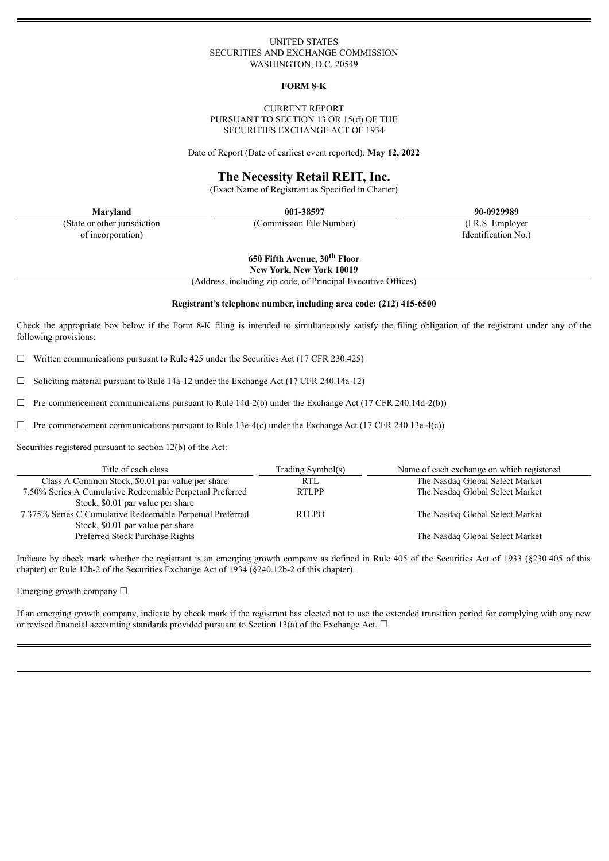## UNITED STATES SECURITIES AND EXCHANGE COMMISSION WASHINGTON, D.C. 20549

#### **FORM 8-K**

### CURRENT REPORT PURSUANT TO SECTION 13 OR 15(d) OF THE SECURITIES EXCHANGE ACT OF 1934

Date of Report (Date of earliest event reported): **May 12, 2022**

## **The Necessity Retail REIT, Inc.**

(Exact Name of Registrant as Specified in Charter)

(State or other jurisdiction of incorporation)

**Maryland 001-38597 90-0929989**

(Commission File Number) (I.R.S. Employer

**650 Fifth Avenue, 30 th Floor**

**New York, New York 10019**

(Address, including zip code, of Principal Executive Offices)

#### **Registrant's telephone number, including area code: (212) 415-6500**

Check the appropriate box below if the Form 8-K filing is intended to simultaneously satisfy the filing obligation of the registrant under any of the following provisions:

 $\Box$  Written communications pursuant to Rule 425 under the Securities Act (17 CFR 230.425)

 $\Box$  Soliciting material pursuant to Rule 14a-12 under the Exchange Act (17 CFR 240.14a-12)

 $\Box$  Pre-commencement communications pursuant to Rule 14d-2(b) under the Exchange Act (17 CFR 240.14d-2(b))

 $\Box$  Pre-commencement communications pursuant to Rule 13e-4(c) under the Exchange Act (17 CFR 240.13e-4(c))

Securities registered pursuant to section 12(b) of the Act:

| Title of each class                                       | Trading Symbol(s) | Name of each exchange on which registered |
|-----------------------------------------------------------|-------------------|-------------------------------------------|
| Class A Common Stock, \$0.01 par value per share          | <b>RTL</b>        | The Nasdaq Global Select Market           |
| 7.50% Series A Cumulative Redeemable Perpetual Preferred  | <b>RTLPP</b>      | The Nasdaq Global Select Market           |
| Stock, \$0.01 par value per share                         |                   |                                           |
| 7.375% Series C Cumulative Redeemable Perpetual Preferred | <b>RTLPO</b>      | The Nasdaq Global Select Market           |
| Stock, \$0.01 par value per share                         |                   |                                           |
| Preferred Stock Purchase Rights                           |                   | The Nasdaq Global Select Market           |

Indicate by check mark whether the registrant is an emerging growth company as defined in Rule 405 of the Securities Act of 1933 (§230.405 of this chapter) or Rule 12b-2 of the Securities Exchange Act of 1934 (§240.12b-2 of this chapter).

Emerging growth company ☐

If an emerging growth company, indicate by check mark if the registrant has elected not to use the extended transition period for complying with any new or revised financial accounting standards provided pursuant to Section 13(a) of the Exchange Act.  $\Box$ 

Identification No.)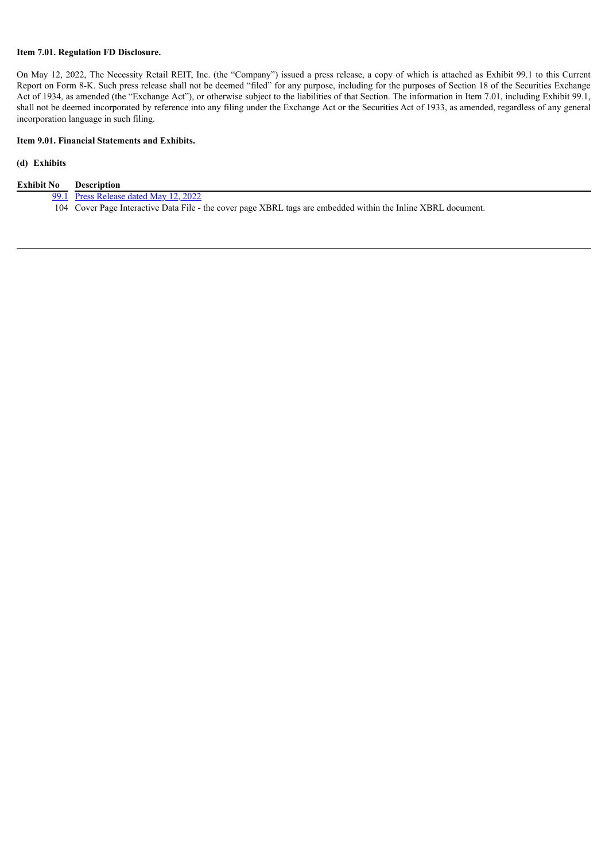## **Item 7.01. Regulation FD Disclosure.**

On May 12, 2022, The Necessity Retail REIT, Inc. (the "Company") issued a press release, a copy of which is attached as Exhibit 99.1 to this Current Report on Form 8-K. Such press release shall not be deemed "filed" for any purpose, including for the purposes of Section 18 of the Securities Exchange Act of 1934, as amended (the "Exchange Act"), or otherwise subject to the liabilities of that Section. The information in Item 7.01, including Exhibit 99.1, shall not be deemed incorporated by reference into any filing under the Exchange Act or the Securities Act of 1933, as amended, regardless of any general incorporation language in such filing.

## **Item 9.01. Financial Statements and Exhibits.**

## **(d) Exhibits**

| <b>Exhibit No</b> | Description                                                                                                   |
|-------------------|---------------------------------------------------------------------------------------------------------------|
|                   | 99.1 Press Release dated May 12, 2022                                                                         |
|                   | 104 Cover Page Interactive Data File - the cover page XBRL tags are embedded within the Inline XBRL document. |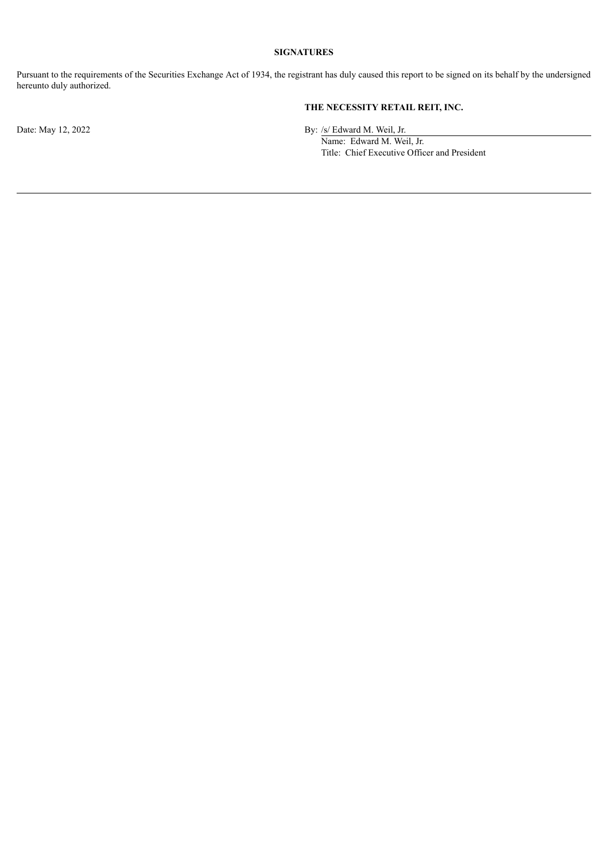## **SIGNATURES**

Pursuant to the requirements of the Securities Exchange Act of 1934, the registrant has duly caused this report to be signed on its behalf by the undersigned hereunto duly authorized.

# **THE NECESSITY RETAIL REIT, INC.**

Date: May 12, 2022 By: /s/ Edward M. Weil, Jr.

Name: Edward M. Weil, Jr. Title: Chief Executive Officer and President